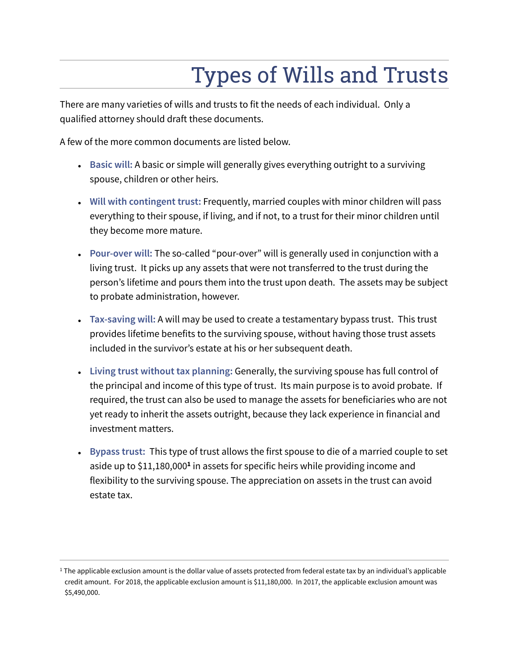## Types of Wills and Trusts

There are many varieties of wills and trusts to fit the needs of each individual. Only a qualified attorney should draft these documents.

A few of the more common documents are listed below.

- Basic will: A basic or simple will generally gives everything outright to a surviving spouse, children or other heirs.
- **Will with contingent trust:** Frequently, married couples with minor children will pass everything to their spouse, if living, and if not, to a trust for their minor children until they become more mature.
- Pour-over will: The so-called "pour-over" will is generally used in conjunction with a living trust. It picks up any assets that were not transferred to the trust during the person's lifetime and pours them into the trust upon death. The assets may be subject to probate administration, however.
- Tax-saving will: A will may be used to create a testamentary bypass trust. This trust provides lifetime benefits to the surviving spouse, without having those trust assets included in the survivor's estate at his or her subsequent death.
- **Living trust without tax planning:** Generally, the surviving spouse has full control of the principal and income of this type of trust. Its main purpose is to avoid probate. If required, the trust can also be used to manage the assets for beneficiaries who are not yet ready to inherit the assets outright, because they lack experience in financial and investment matters.
- **Bypass trust:** This type of trust allows the first spouse to die of a married couple to set aside up to \$11,180,000<sup>1</sup> in assets for specific heirs while providing income and flexibility to the surviving spouse. The appreciation on assets in the trust can avoid estate tax.

<sup>1</sup> The applicable exclusion amount is the dollar value of assets protected from federal estate tax by an individual's applicable credit amount. For 2018, the applicable exclusion amount is \$11,180,000. In 2017, the applicable exclusion amount was \$5,490,000.